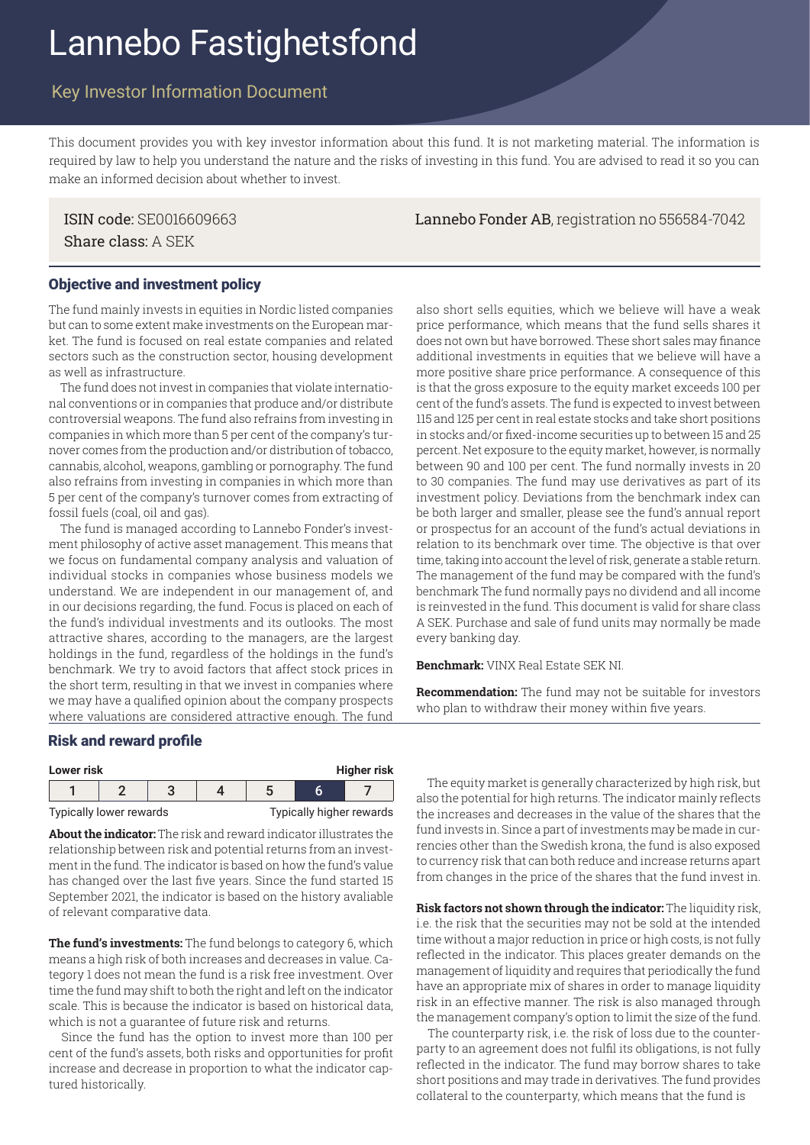# Lannebo Fastighetsfond

## Key Investor Information Document

This document provides you with key investor information about this fund. It is not marketing material. The information is required by law to help you understand the nature and the risks of investing in this fund. You are advised to read it so you can make an informed decision about whether to invest.

Share class: A SEK

ISIN code: SE0016609663 Lannebo Fonder AB, registration no 556584-7042

#### Objective and investment policy

The fund mainly invests in equities in Nordic listed companies but can to some extent make investments on the European market. The fund is focused on real estate companies and related sectors such as the construction sector, housing development as well as infrastructure.

The fund does not invest in companies that violate international conventions or in companies that produce and/or distribute controversial weapons. The fund also refrains from investing in companies in which more than 5 per cent of the company's turnover comes from the production and/or distribution of tobacco, cannabis, alcohol, weapons, gambling or pornography. The fund also refrains from investing in companies in which more than 5 per cent of the company's turnover comes from extracting of fossil fuels (coal, oil and gas).

The fund is managed according to Lannebo Fonder's investment philosophy of active asset management. This means that we focus on fundamental company analysis and valuation of individual stocks in companies whose business models we understand. We are independent in our management of, and in our decisions regarding, the fund. Focus is placed on each of the fund's individual investments and its outlooks. The most attractive shares, according to the managers, are the largest holdings in the fund, regardless of the holdings in the fund's benchmark. We try to avoid factors that affect stock prices in the short term, resulting in that we invest in companies where we may have a qualified opinion about the company prospects where valuations are considered attractive enough. The fund

also short sells equities, which we believe will have a weak price performance, which means that the fund sells shares it does not own but have borrowed. These short sales may finance additional investments in equities that we believe will have a more positive share price performance. A consequence of this is that the gross exposure to the equity market exceeds 100 per cent of the fund's assets. The fund is expected to invest between 115 and 125 per cent in real estate stocks and take short positions in stocks and/or fixed-income securities up to between 15 and 25 percent. Net exposure to the equity market, however, is normally between 90 and 100 per cent. The fund normally invests in 20 to 30 companies. The fund may use derivatives as part of its investment policy. Deviations from the benchmark index can be both larger and smaller, please see the fund's annual report or prospectus for an account of the fund's actual deviations in relation to its benchmark over time. The objective is that over time, taking into account the level of risk, generate a stable return. The management of the fund may be compared with the fund's benchmark The fund normally pays no dividend and all income is reinvested in the fund. This document is valid for share class A SEK. Purchase and sale of fund units may normally be made every banking day.

**Benchmark:** VINX Real Estate SEK NI.

**Recommendation:** The fund may not be suitable for investors who plan to withdraw their money within five years.

#### Risk and reward profile

| Higher risk<br>Lower risk |  |  |  |  |  |                          |
|---------------------------|--|--|--|--|--|--------------------------|
|                           |  |  |  |  |  |                          |
| Typically lower rewards   |  |  |  |  |  | Typically higher rewards |

**About the indicator:** The risk and reward indicator illustrates the relationship between risk and potential returns from an investment in the fund. The indicator is based on how the fund's value has changed over the last five years. Since the fund started 15 September 2021, the indicator is based on the history avaliable of relevant comparative data.

**The fund's investments:** The fund belongs to category 6, which means a high risk of both increases and decreases in value. Category 1 does not mean the fund is a risk free investment. Over time the fund may shift to both the right and left on the indicator scale. This is because the indicator is based on historical data, which is not a guarantee of future risk and returns.

 Since the fund has the option to invest more than 100 per cent of the fund's assets, both risks and opportunities for profit increase and decrease in proportion to what the indicator captured historically.

 The equity market is generally characterized by high risk, but also the potential for high returns. The indicator mainly reflects the increases and decreases in the value of the shares that the fund invests in. Since a part of investments may be made in currencies other than the Swedish krona, the fund is also exposed to currency risk that can both reduce and increase returns apart from changes in the price of the shares that the fund invest in.

**Risk factors not shown through the indicator:** The liquidity risk, i.e. the risk that the securities may not be sold at the intended time without a major reduction in price or high costs, is not fully reflected in the indicator. This places greater demands on the management of liquidity and requires that periodically the fund have an appropriate mix of shares in order to manage liquidity risk in an effective manner. The risk is also managed through the management company's option to limit the size of the fund.

 The counterparty risk, i.e. the risk of loss due to the counterparty to an agreement does not fulfil its obligations, is not fully reflected in the indicator. The fund may borrow shares to take short positions and may trade in derivatives. The fund provides collateral to the counterparty, which means that the fund is